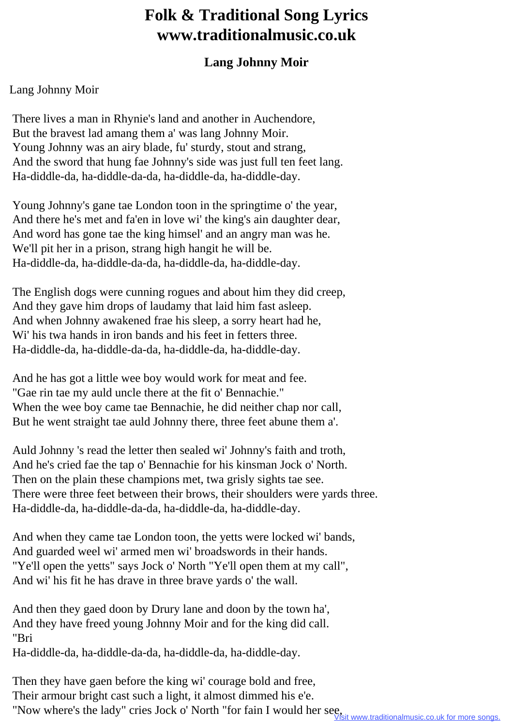## **Folk & Traditional Song Lyrics www.traditionalmusic.co.uk**

## **Lang Johnny Moir**

## Lang Johnny Moir

 There lives a man in Rhynie's land and another in Auchendore, But the bravest lad amang them a' was lang Johnny Moir. Young Johnny was an airy blade, fu' sturdy, stout and strang, And the sword that hung fae Johnny's side was just full ten feet lang. Ha-diddle-da, ha-diddle-da-da, ha-diddle-da, ha-diddle-day.

 Young Johnny's gane tae London toon in the springtime o' the year, And there he's met and fa'en in love wi' the king's ain daughter dear, And word has gone tae the king himsel' and an angry man was he. We'll pit her in a prison, strang high hangit he will be. Ha-diddle-da, ha-diddle-da-da, ha-diddle-da, ha-diddle-day.

 The English dogs were cunning rogues and about him they did creep, And they gave him drops of laudamy that laid him fast asleep. And when Johnny awakened frae his sleep, a sorry heart had he, Wi' his twa hands in iron bands and his feet in fetters three. Ha-diddle-da, ha-diddle-da-da, ha-diddle-da, ha-diddle-day.

 And he has got a little wee boy would work for meat and fee. "Gae rin tae my auld uncle there at the fit o' Bennachie." When the wee boy came tae Bennachie, he did neither chap nor call, But he went straight tae auld Johnny there, three feet abune them a'.

 Auld Johnny 's read the letter then sealed wi' Johnny's faith and troth, And he's cried fae the tap o' Bennachie for his kinsman Jock o' North. Then on the plain these champions met, twa grisly sights tae see. There were three feet between their brows, their shoulders were yards three. Ha-diddle-da, ha-diddle-da-da, ha-diddle-da, ha-diddle-day.

 And when they came tae London toon, the yetts were locked wi' bands, And guarded weel wi' armed men wi' broadswords in their hands. "Ye'll open the yetts" says Jock o' North "Ye'll open them at my call", And wi' his fit he has drave in three brave yards o' the wall.

 And then they gaed doon by Drury lane and doon by the town ha', And they have freed young Johnny Moir and for the king did call. "Bri

Ha-diddle-da, ha-diddle-da-da, ha-diddle-da, ha-diddle-day.

 Then they have gaen before the king wi' courage bold and free, Their armour bright cast such a light, it almost dimmed his e'e. "Now where's the lady" cries Jock o' North "for fain I would her see, Wisit www.traditionalmusic.co.uk for more songs.